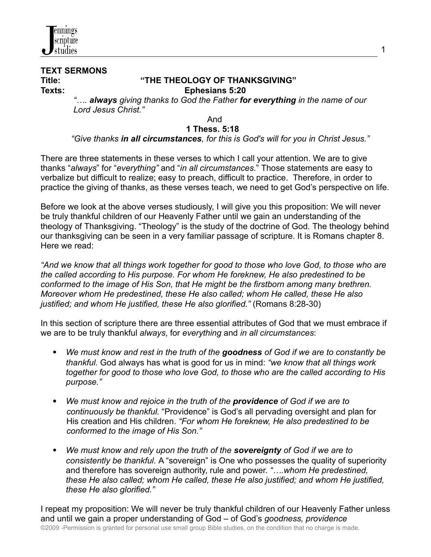

# **TEXT SERMONS**

#### **Title: "THE THEOLOGY OF THANKSGIVING" Texts: Ephesians 5:20**

*"…. always giving thanks to God the Father for everything in the name of our Lord Jesus Christ."*

### And

### **1 Thess. 5:18**

#### *"Give thanks in all circumstances, for this is God's will for you in Christ Jesus."*

There are three statements in these verses to which I call your attention. We are to give thanks "*always*" for "*everything"* and "*in all circumstances*." Those statements are easy to verbalize but difficult to realize; easy to preach, difficult to practice. Therefore, in order to practice the giving of thanks, as these verses teach, we need to get God's perspective on life.

Before we look at the above verses studiously, I will give you this proposition: We will never be truly thankful children of our Heavenly Father until we gain an understanding of the theology of Thanksgiving. "Theology" is the study of the doctrine of God. The theology behind our thanksgiving can be seen in a very familiar passage of scripture. It is Romans chapter 8. Here we read:

*"And we know that all things work together for good to those who love God, to those who are the called according to His purpose. For whom He foreknew, He also predestined to be conformed to the image of His Son, that He might be the firstborn among many brethren. Moreover whom He predestined, these He also called; whom He called, these He also justified; and whom He justified, these He also glorified."* (Romans 8:28-30)

In this section of scripture there are three essential attributes of God that we must embrace if we are to be truly thankful *always*, for *everything* and *in all circumstances*:

- *We must know and rest in the truth of the goodness of God if we are to constantly be thankful.* God always has what is good for us in mind: *"we know that all things work together for good to those who love God, to those who are the called according to His purpose."*
- *We must know and rejoice in the truth of the providence of God if we are to continuously be thankful.* "Providence" is God's all pervading oversight and plan for His creation and His children. *"For whom He foreknew, He also predestined to be conformed to the image of His Son."*
- *We must know and rely upon the truth of the sovereignty of God if we are to consistently be thankful.* A "sovereign" is One who possesses the quality of superiority and therefore has sovereign authority, rule and power. *"….whom He predestined, these He also called; whom He called, these He also justified; and whom He justified, these He also glorified."*

I repeat my proposition: We will never be truly thankful children of our Heavenly Father unless and until we gain a proper understanding of God – of God's *goodness, providence* ©2009 -Permission is granted for personal use small group Bible studies, on the condition that no charge is made.

1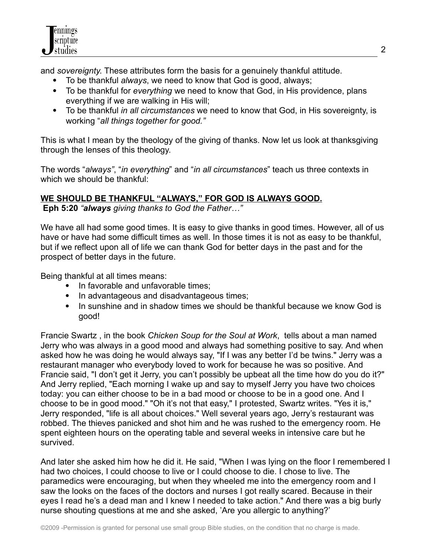and *sovereignty*. These attributes form the basis for a genuinely thankful attitude.

- To be thankful *always*, we need to know that God is good, always;
- To be thankful for *everything* we need to know that God, in His providence, plans everything if we are walking in His will;
- To be thankful *in all circumstances* we need to know that God, in His sovereignty, is working "*all things together for good."*

This is what I mean by the theology of the giving of thanks. Now let us look at thanksgiving through the lenses of this theology.

The words "*always"*, "*in everything*" and "*in all circumstances*" teach us three contexts in which we should be thankful:

## **WE SHOULD BE THANKFUL "ALWAYS," FOR GOD IS ALWAYS GOOD.**

**Eph 5:20** *"always giving thanks to God the Father…"*

We have all had some good times. It is easy to give thanks in good times. However, all of us have or have had some difficult times as well. In those times it is not as easy to be thankful, but if we reflect upon all of life we can thank God for better days in the past and for the prospect of better days in the future.

Being thankful at all times means:

- In favorable and unfavorable times;
- In advantageous and disadvantageous times;
- In sunshine and in shadow times we should be thankful because we know God is good!

Francie Swartz , in the book *Chicken Soup for the Soul at Work*, tells about a man named Jerry who was always in a good mood and always had something positive to say. And when asked how he was doing he would always say, "If I was any better I'd be twins." Jerry was a restaurant manager who everybody loved to work for because he was so positive. And Francie said, "I don't get it Jerry, you can't possibly be upbeat all the time how do you do it?" And Jerry replied, "Each morning I wake up and say to myself Jerry you have two choices today: you can either choose to be in a bad mood or choose to be in a good one. And I choose to be in good mood." "Oh it's not that easy," I protested, Swartz writes. "Yes it is," Jerry responded, "life is all about choices." Well several years ago, Jerry's restaurant was robbed. The thieves panicked and shot him and he was rushed to the emergency room. He spent eighteen hours on the operating table and several weeks in intensive care but he survived.

And later she asked him how he did it. He said, "When I was lying on the floor I remembered I had two choices, I could choose to live or I could choose to die. I chose to live. The paramedics were encouraging, but when they wheeled me into the emergency room and I saw the looks on the faces of the doctors and nurses I got really scared. Because in their eyes I read he's a dead man and I knew I needed to take action." And there was a big burly nurse shouting questions at me and she asked, 'Are you allergic to anything?'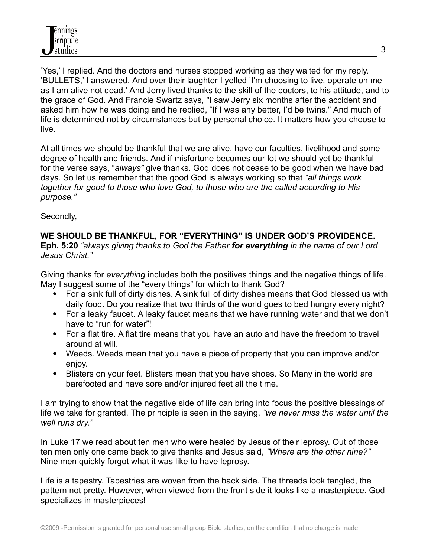'Yes,' I replied. And the doctors and nurses stopped working as they waited for my reply. 'BULLETS,' I answered. And over their laughter I yelled 'I'm choosing to live, operate on me as I am alive not dead.' And Jerry lived thanks to the skill of the doctors, to his attitude, and to the grace of God. And Francie Swartz says, "I saw Jerry six months after the accident and asked him how he was doing and he replied, "If I was any better, I'd be twins." And much of life is determined not by circumstances but by personal choice. It matters how you choose to live.

At all times we should be thankful that we are alive, have our faculties, livelihood and some degree of health and friends. And if misfortune becomes our lot we should yet be thankful for the verse says, "*always"* give thanks. God does not cease to be good when we have bad days. So let us remember that the good God is always working so that *"all things work together for good to those who love God, to those who are the called according to His purpose."*

Secondly,

## **WE SHOULD BE THANKFUL, FOR "EVERYTHING" IS UNDER GOD'S PROVIDENCE.**

**Eph. 5:20** *"always giving thanks to God the Father for everything in the name of our Lord Jesus Christ."*

Giving thanks for *everything* includes both the positives things and the negative things of life. May I suggest some of the "every things" for which to thank God?

- For a sink full of dirty dishes. A sink full of dirty dishes means that God blessed us with daily food. Do you realize that two thirds of the world goes to bed hungry every night?
- For a leaky faucet. A leaky faucet means that we have running water and that we don't have to "run for water"!
- For a flat tire. A flat tire means that you have an auto and have the freedom to travel around at will.
- Weeds. Weeds mean that you have a piece of property that you can improve and/or enjoy.
- Blisters on your feet. Blisters mean that you have shoes. So Many in the world are barefooted and have sore and/or injured feet all the time.

I am trying to show that the negative side of life can bring into focus the positive blessings of life we take for granted. The principle is seen in the saying, *"we never miss the water until the well runs dry."*

In Luke 17 we read about ten men who were healed by Jesus of their leprosy. Out of those ten men only one came back to give thanks and Jesus said, *"Where are the other nine?"* Nine men quickly forgot what it was like to have leprosy.

Life is a tapestry. Tapestries are woven from the back side. The threads look tangled, the pattern not pretty. However, when viewed from the front side it looks like a masterpiece. God specializes in masterpieces!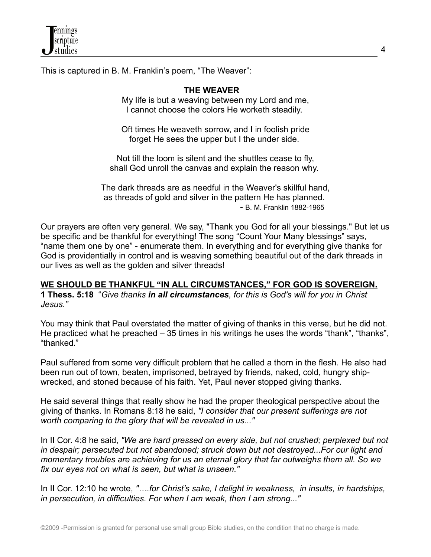

This is captured in B. M. Franklin's poem, "The Weaver":

#### **THE WEAVER**

My life is but a weaving between my Lord and me, I cannot choose the colors He worketh steadily.

Oft times He weaveth sorrow, and I in foolish pride forget He sees the upper but I the under side.

Not till the loom is silent and the shuttles cease to fly, shall God unroll the canvas and explain the reason why.

The dark threads are as needful in the Weaver's skillful hand, as threads of gold and silver in the pattern He has planned. - B. M. Franklin 1882-1965

Our prayers are often very general. We say, "Thank you God for all your blessings." But let us be specific and be thankful for everything! The song "Count Your Many blessings" says, "name them one by one" - enumerate them. In everything and for everything give thanks for God is providentially in control and is weaving something beautiful out of the dark threads in our lives as well as the golden and silver threads!

#### **WE SHOULD BE THANKFUL "IN ALL CIRCUMSTANCES," FOR GOD IS SOVEREIGN.**

**1 Thess. 5:18** "*Give thanks in all circumstances, for this is God's will for you in Christ Jesus."*

You may think that Paul overstated the matter of giving of thanks in this verse, but he did not. He practiced what he preached – 35 times in his writings he uses the words "thank", "thanks", "thanked."

Paul suffered from some very difficult problem that he called a thorn in the flesh. He also had been run out of town, beaten, imprisoned, betrayed by friends, naked, cold, hungry shipwrecked, and stoned because of his faith. Yet, Paul never stopped giving thanks.

He said several things that really show he had the proper theological perspective about the giving of thanks. In Romans 8:18 he said, *"I consider that our present sufferings are not worth comparing to the glory that will be revealed in us..."*

In II Cor. 4:8 he said, *"We are hard pressed on every side, but not crushed; perplexed but not in despair; persecuted but not abandoned; struck down but not destroyed...For our light and momentary troubles are achieving for us an eternal glory that far outweighs them all. So we fix our eyes not on what is seen, but what is unseen."*

In II Cor. 12:10 he wrote, *"….for Christ's sake, I delight in weakness, in insults, in hardships, in persecution, in difficulties. For when I am weak, then I am strong..."*